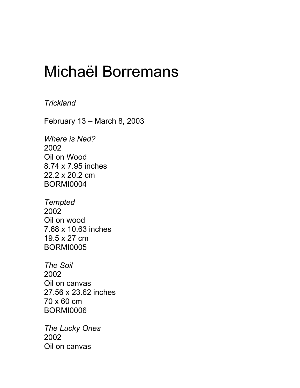## Michaël Borremans

## *Trickland*

February 13 – March 8, 2003

*Where is Ned?* 2002 Oil on Wood 8.74 x 7.95 inches 22.2 x 20.2 cm BORMI0004

*Tempted* 2002 Oil on wood 7.68 x 10.63 inches 19.5 x 27 cm BORMI0005

*The Soil* 2002 Oil on canvas 27.56 x 23.62 inches 70 x 60 cm BORMI0006

*The Lucky Ones* 2002 Oil on canvas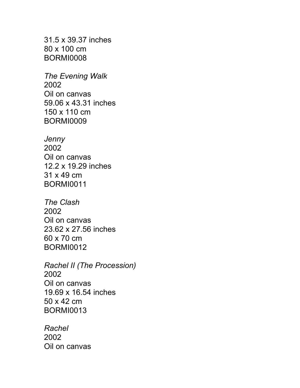31.5 x 39.37 inches 80 x 100 cm BORMI0008

*The Evening Walk* 2002 Oil on canvas 59.06 x 43.31 inches 150 x 110 cm BORMI0009

*Jenny* 2002 Oil on canvas 12.2 x 19.29 inches 31 x 49 cm BORMI0011

*The Clash* 2002 Oil on canvas 23.62 x 27.56 inches 60 x 70 cm BORMI0012

*Rachel II (The Procession)* 2002 Oil on canvas 19.69 x 16.54 inches 50 x 42 cm BORMI0013

*Rachel* 2002 Oil on canvas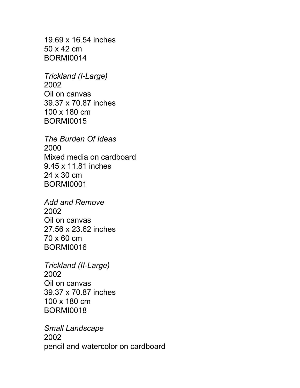19.69 x 16.54 inches 50 x 42 cm BORMI0014

*Trickland (I-Large)* 2002 Oil on canvas 39.37 x 70.87 inches 100 x 180 cm BORMI0015

*The Burden Of Ideas* 2000 Mixed media on cardboard 9.45 x 11.81 inches 24 x 30 cm BORMI0001

*Add and Remove* 2002 Oil on canvas 27.56 x 23.62 inches 70 x 60 cm BORMI0016

*Trickland (II-Large)* 2002 Oil on canvas 39.37 x 70.87 inches 100 x 180 cm BORMI0018

*Small Landscape* 2002 pencil and watercolor on cardboard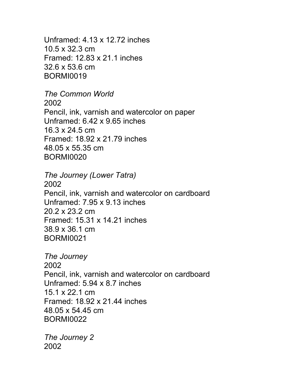Unframed: 4.13 x 12.72 inches 10.5 x 32.3 cm Framed: 12.83 x 21.1 inches 32.6 x 53.6 cm BORMI0019

*The Common World* 2002 Pencil, ink, varnish and watercolor on paper Unframed: 6.42 x 9.65 inches 16.3 x 24.5 cm Framed: 18.92 x 21.79 inches 48.05 x 55.35 cm BORMI0020

*The Journey (Lower Tatra)* 2002 Pencil, ink, varnish and watercolor on cardboard Unframed: 7.95 x 9.13 inches 20.2 x 23.2 cm Framed: 15.31 x 14.21 inches 38.9 x 36.1 cm BORMI0021

*The Journey* 2002 Pencil, ink, varnish and watercolor on cardboard Unframed: 5.94 x 8.7 inches 15.1 x 22.1 cm Framed: 18.92 x 21.44 inches 48.05 x 54.45 cm BORMI0022

*The Journey 2* 2002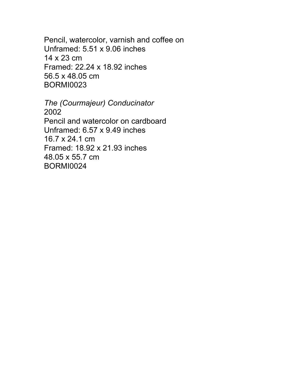Pencil, watercolor, varnish and coffee on Unframed: 5.51 x 9.06 inches 14 x 23 cm Framed: 22.24 x 18.92 inches 56.5 x 48.05 cm BORMI0023

*The (Courmajeur) Conducinator* 2002 Pencil and watercolor on cardboard Unframed: 6.57 x 9.49 inches 16.7 x 24.1 cm Framed: 18.92 x 21.93 inches 48.05 x 55.7 cm BORMI0024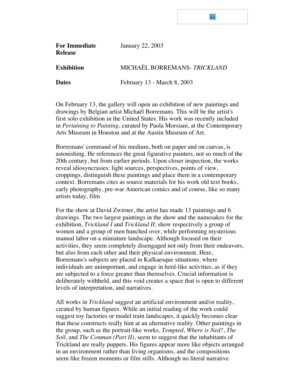## $|2|$

| <b>For Immediate</b><br><b>Release</b> | <b>January 22, 2003</b>     |
|----------------------------------------|-----------------------------|
| <b>Exhibition</b>                      | MICHAËL BORREMANS-TRICKLAND |
| <b>Dates</b>                           | February 13 - March 8, 2003 |

On February 13, the gallery will open an exhibition of new paintings and drawings by Belgian artist Michaël Borremans. This will be the artist's first solo exhibition in the United States. His work was recently included in *Pertaining to Painting*, curated by Paola Morsiani, at the Contemporary Arts Museum in Houston and at the Austin Museum of Art.

Borremans' command of his medium, both on paper and on canvas, is astonishing. He references the great figurative painters, not so much of the 20th century, but from earlier periods. Upon closer inspection, the works reveal idiosyncrasies: light sources, perspectives, points of view, croppings, distinguish these paintings and place them in a contemporary context. Borremans cites as source materials for his work old text books, early photography, pre-war American comics and of course, like so many artists today, film.

For the show at David Zwirner, the artist has made 13 paintings and 6 drawings. The two largest paintings in the show and the namesakes for the exhibition, *Trickland I* and *Trickland II*, show respectively a group of women and a group of men hunched over, while performing mysterious manual labor on a miniature landscape. Although focused on their activities, they seem completely disengaged not only from their endeavors, but also from each other and their physical environment. Here, Borremans's subjects are placed in Kafkaesque situations, where individuals are unimportant, and engage in herd-like activities, as if they are subjected to a force greater than themselves. Crucial information is deliberately withheld, and this void creates a space that is open to different levels of interpretation, and narratives.

All works in *Trickland* suggest an artificial environment and/or reality, created by human figures. While an initial reading of the work could suggest toy factories or model train landscapes, it quickly becomes clear that these constructs really hint at an alternative reality. Other paintings in the group, such as the portrait-like works, *Tempted*, *Where is Ned?*, *The Soil*, and *The Conman (Part II)*, seem to suggest that the inhabitants of Trickland are really puppets. His figures appear more like objects arranged in an environment rather than living organisms, and the compositions seem like frozen moments or film stills. Although no literal narrative